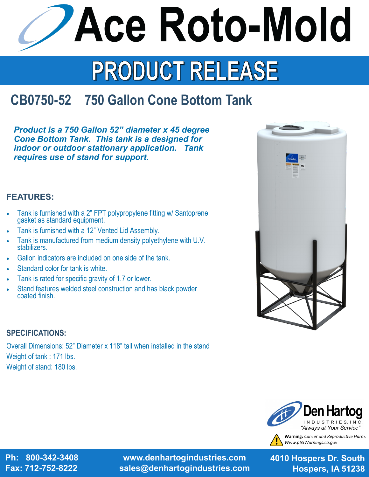**Ace Roto-Mold** 

# PRODUCT RELEASE

## **CB0750-52 750 Gallon Cone Bottom Tank**

*Product is a 750 Gallon 52" diameter x 45 degree Cone Bottom Tank. This tank is a designed for indoor or outdoor stationary application. Tank requires use of stand for support.* 

### **FEATURES:**

- Tank is furnished with a 2" FPT polypropylene fitting w/ Santoprene gasket as standard equipment.
- Tank is furnished with a 12" Vented Lid Assembly.
- Tank is manufactured from medium density polyethylene with U.V. stabilizers.
- Gallon indicators are included on one side of the tank.
- Standard color for tank is white.
- Tank is rated for specific gravity of 1.7 or lower.
- Stand features welded steel construction and has black powder coated finish.

### **SPECIFICATIONS:**

Overall Dimensions: 52" Diameter x 118" tall when installed in the stand Weight of tank : 171 lbs. Weight of stand: 180 lbs.



**Warning:** *Cancer and Reproductive Harm. Www.p65Warnings.ca.gov*

**Ph: 800-342-3408 Fax: 712-752-8222**

**www.denhartogindustries.com sales@denhartogindustries.com**

**4010 Hospers Dr. South Hospers, IA 51238**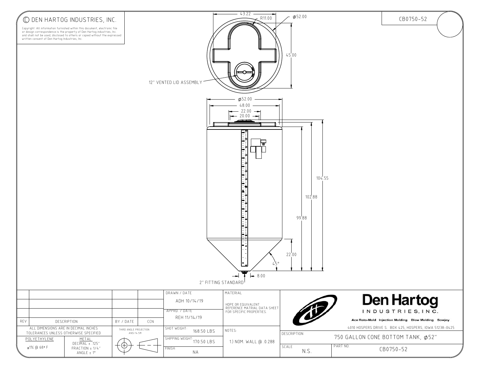